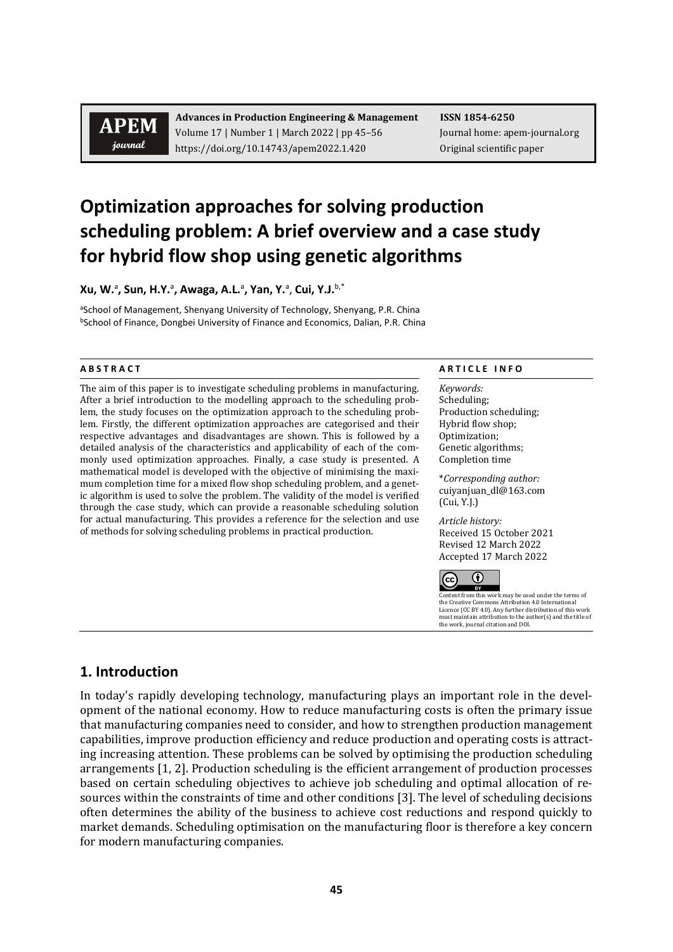# **APEM** journal

**Advances in Production Engineering & Management ISSN 1854-6250** Volume 17 | Number 1 | March 2022 | pp 45–56 Journal home: apem-journal.org https://doi.org/10.14743/apem2022.1.420 Original scientific paper

# **Optimization approaches for solving production scheduling problem: A brief overview and a case study for hybrid flow shop using genetic algorithms**

**Xu, W.**<sup>a</sup> **, Sun, H.Y.**<sup>a</sup> **, Awaga, A.L.**<sup>a</sup> **, Yan, Y.**<sup>a</sup> , **Cui, Y.J.**b,\*

aSchool of Management, Shenyang University of Technology, Shenyang, P.R. China bSchool of Finance, Dongbei University of Finance and Economics, Dalian, P.R. China

The aim of this paper is to investigate scheduling problems in manufacturing. After a brief introduction to the modelling approach to the scheduling problem, the study focuses on the optimization approach to the scheduling problem. Firstly, the different optimization approaches are categorised and their respective advantages and disadvantages are shown. This is followed by a detailed analysis of the characteristics and applicability of each of the commonly used optimization approaches. Finally, a case study is presented. A mathematical model is developed with the objective of minimising the maximum completion time for a mixed flow shop scheduling problem, and a genetic algorithm is used to solve the problem. The validity of the model is verified through the case study, which can provide a reasonable scheduling solution for actual manufacturing. This provides a reference for the selection and use of methods for solving scheduling problems in practical production.

#### **A B S T R A C T A R T I C L E I N F O**

*Keywords:* Scheduling; Production scheduling; Hybrid flow shop; Optimization; Genetic algorithms; Completion time

\**Corresponding author:*  cuiyanjuan\_dl@163.com (Cui, Y.J.)

*Article history:*  Received 15 October 2021 Revised 12 March 2022 Accepted 17 March 2022



Content from this work may be used under the terms of the Creative Commons Attribution 4.0 International Licence (CC BY 4.0). Any further distribution of this work must maintain attribution to the author(s) and the title of the work, journal citation and DOI.

# **1. Introduction**

In today's rapidly developing technology, manufacturing plays an important role in the development of the national economy. How to reduce manufacturing costs is often the primary issue that manufacturing companies need to consider, and how to strengthen production management capabilities, improve production efficiency and reduce production and operating costs is attracting increasing attention. These problems can be solved by optimising the production scheduling arrangements [1, 2]. Production scheduling is the efficient arrangement of production processes based on certain scheduling objectives to achieve job scheduling and optimal allocation of resources within the constraints of time and other conditions [3]. The level of scheduling decisions often determines the ability of the business to achieve cost reductions and respond quickly to market demands. Scheduling optimisation on the manufacturing floor is therefore a key concern for modern manufacturing companies.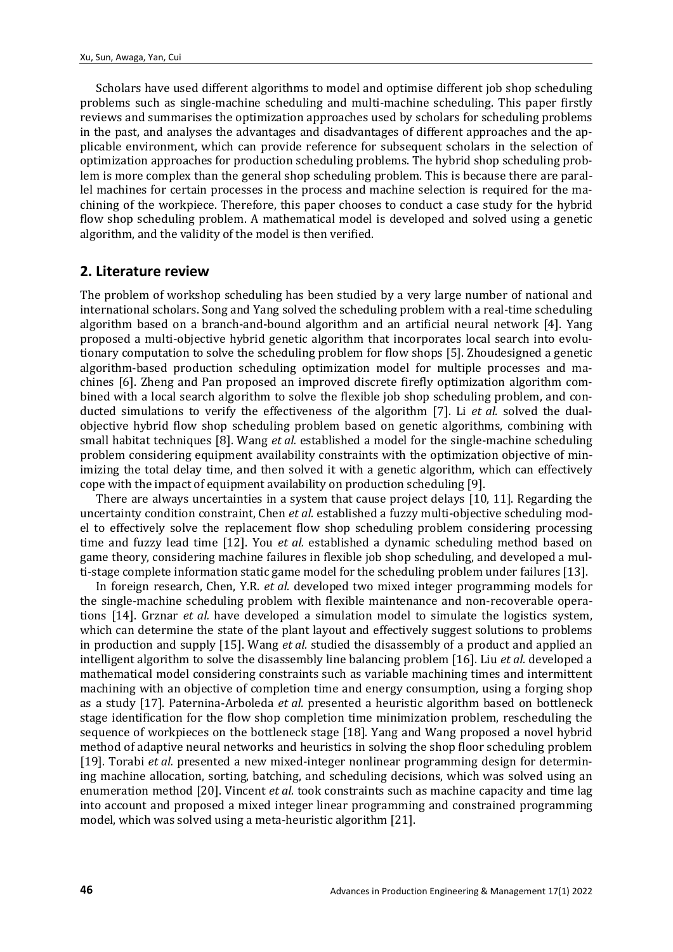Scholars have used different algorithms to model and optimise different job shop scheduling problems such as single-machine scheduling and multi-machine scheduling. This paper firstly reviews and summarises the optimization approaches used by scholars for scheduling problems in the past, and analyses the advantages and disadvantages of different approaches and the applicable environment, which can provide reference for subsequent scholars in the selection of optimization approaches for production scheduling problems. The hybrid shop scheduling problem is more complex than the general shop scheduling problem. This is because there are parallel machines for certain processes in the process and machine selection is required for the machining of the workpiece. Therefore, this paper chooses to conduct a case study for the hybrid flow shop scheduling problem. A mathematical model is developed and solved using a genetic algorithm, and the validity of the model is then verified.

#### **2. Literature review**

The problem of workshop scheduling has been studied by a very large number of national and international scholars. Song and Yang solved the scheduling problem with a real-time scheduling algorithm based on a branch-and-bound algorithm and an artificial neural network [4]. Yang proposed a multi-objective hybrid genetic algorithm that incorporates local search into evolutionary computation to solve the scheduling problem for flow shops [5]. Zhoudesigned a genetic algorithm-based production scheduling optimization model for multiple processes and machines [6]. Zheng and Pan proposed an improved discrete firefly optimization algorithm combined with a local search algorithm to solve the flexible job shop scheduling problem, and conducted simulations to verify the effectiveness of the algorithm [7]. Li *et al.* solved the dualobjective hybrid flow shop scheduling problem based on genetic algorithms, combining with small habitat techniques [8]. Wang *et al.* established a model for the single-machine scheduling problem considering equipment availability constraints with the optimization objective of minimizing the total delay time, and then solved it with a genetic algorithm, which can effectively cope with the impact of equipment availability on production scheduling [9].

There are always uncertainties in a system that cause project delays [10, 11]. Regarding the uncertainty condition constraint, Chen *et al.* established a fuzzy multi-objective scheduling model to effectively solve the replacement flow shop scheduling problem considering processing time and fuzzy lead time [12]. You *et al.* established a dynamic scheduling method based on game theory, considering machine failures in flexible job shop scheduling, and developed a multi-stage complete information static game model for the scheduling problem under failures [13].

In foreign research, Chen, Y.R. *et al.* developed two mixed integer programming models for the single-machine scheduling problem with flexible maintenance and non-recoverable operations [14]. Grznar *et al.* have developed a simulation model to simulate the logistics system, which can determine the state of the plant layout and effectively suggest solutions to problems in production and supply [15]. Wang *et al.* studied the disassembly of a product and applied an intelligent algorithm to solve the disassembly line balancing problem [16]. Liu *et al.* developed a mathematical model considering constraints such as variable machining times and intermittent machining with an objective of completion time and energy consumption, using a forging shop as a study [17]. Paternina-Arboleda *et al.* presented a heuristic algorithm based on bottleneck stage identification for the flow shop completion time minimization problem, rescheduling the sequence of workpieces on the bottleneck stage [18]. Yang and Wang proposed a novel hybrid method of adaptive neural networks and heuristics in solving the shop floor scheduling problem [19]. Torabi *et al.* presented a new mixed-integer nonlinear programming design for determining machine allocation, sorting, batching, and scheduling decisions, which was solved using an enumeration method [20]. Vincent *et al.* took constraints such as machine capacity and time lag into account and proposed a mixed integer linear programming and constrained programming model, which was solved using a meta-heuristic algorithm [21].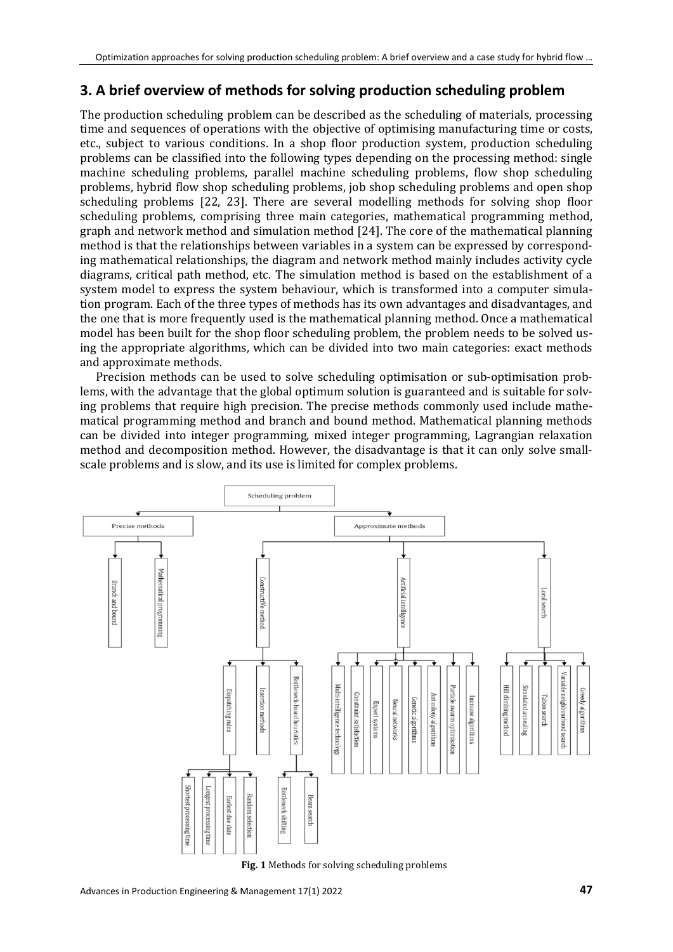# **3. A brief overview of methods for solving production scheduling problem**

The production scheduling problem can be described as the scheduling of materials, processing time and sequences of operations with the objective of optimising manufacturing time or costs, etc., subject to various conditions. In a shop floor production system, production scheduling problems can be classified into the following types depending on the processing method: single machine scheduling problems, parallel machine scheduling problems, flow shop scheduling problems, hybrid flow shop scheduling problems, job shop scheduling problems and open shop scheduling problems [22, 23]. There are several modelling methods for solving shop floor scheduling problems, comprising three main categories, mathematical programming method, graph and network method and simulation method [24]. The core of the mathematical planning method is that the relationships between variables in a system can be expressed by corresponding mathematical relationships, the diagram and network method mainly includes activity cycle diagrams, critical path method, etc. The simulation method is based on the establishment of a system model to express the system behaviour, which is transformed into a computer simulation program. Each of the three types of methods has its own advantages and disadvantages, and the one that is more frequently used is the mathematical planning method. Once a mathematical model has been built for the shop floor scheduling problem, the problem needs to be solved using the appropriate algorithms, which can be divided into two main categories: exact methods and approximate methods.

Precision methods can be used to solve scheduling optimisation or sub-optimisation problems, with the advantage that the global optimum solution is guaranteed and is suitable for solving problems that require high precision. The precise methods commonly used include mathematical programming method and branch and bound method. Mathematical planning methods can be divided into integer programming, mixed integer programming, Lagrangian relaxation method and decomposition method. However, the disadvantage is that it can only solve smallscale problems and is slow, and its use is limited for complex problems.



**Fig. 1** Methods for solving scheduling problems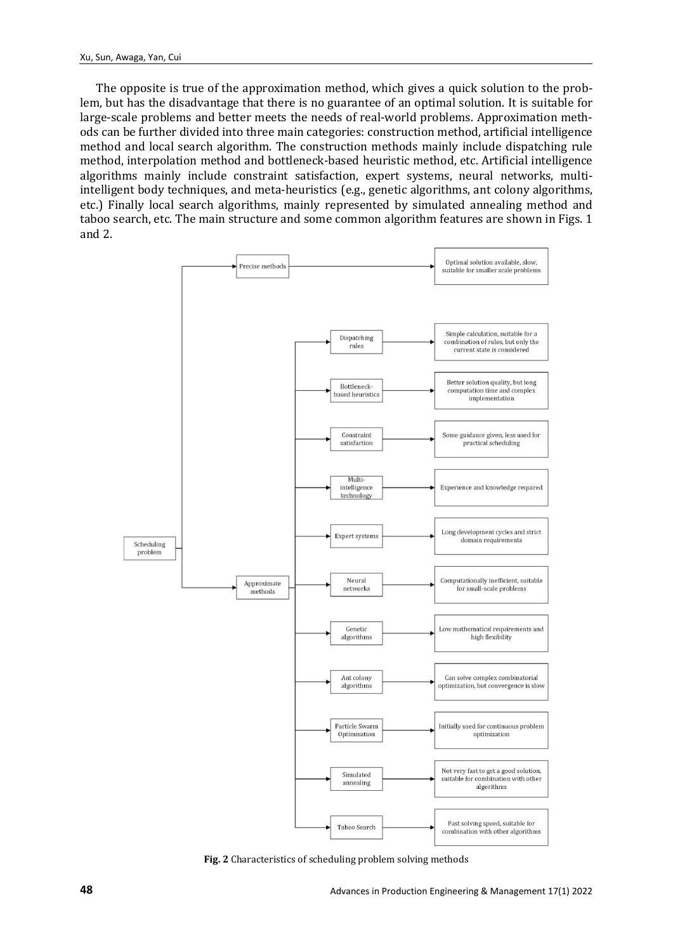The opposite is true of the approximation method, which gives a quick solution to the problem, but has the disadvantage that there is no guarantee of an optimal solution. It is suitable for large-scale problems and better meets the needs of real-world problems. Approximation methods can be further divided into three main categories: construction method, artificial intelligence method and local search algorithm. The construction methods mainly include dispatching rule method, interpolation method and bottleneck-based heuristic method, etc. Artificial intelligence algorithms mainly include constraint satisfaction, expert systems, neural networks, multiintelligent body techniques, and meta-heuristics (e.g., genetic algorithms, ant colony algorithms, etc.) Finally local search algorithms, mainly represented by simulated annealing method and taboo search, etc. The main structure and some common algorithm features are shown in Figs. 1 and 2.



**Fig. 2** Characteristics of scheduling problem solving methods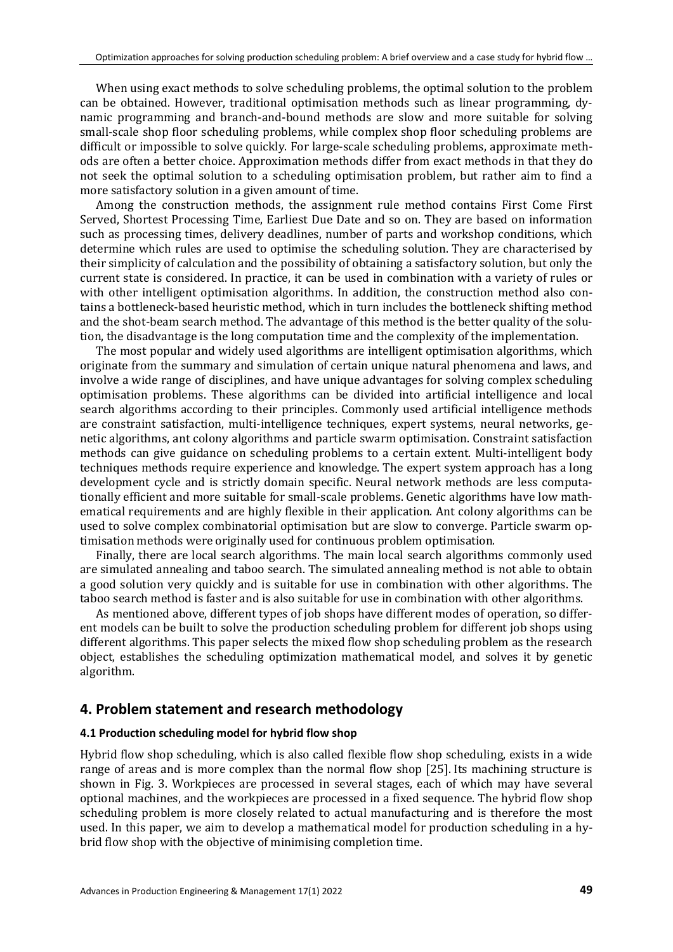When using exact methods to solve scheduling problems, the optimal solution to the problem can be obtained. However, traditional optimisation methods such as linear programming, dynamic programming and branch-and-bound methods are slow and more suitable for solving small-scale shop floor scheduling problems, while complex shop floor scheduling problems are difficult or impossible to solve quickly. For large-scale scheduling problems, approximate methods are often a better choice. Approximation methods differ from exact methods in that they do not seek the optimal solution to a scheduling optimisation problem, but rather aim to find a more satisfactory solution in a given amount of time.

Among the construction methods, the assignment rule method contains First Come First Served, Shortest Processing Time, Earliest Due Date and so on. They are based on information such as processing times, delivery deadlines, number of parts and workshop conditions, which determine which rules are used to optimise the scheduling solution. They are characterised by their simplicity of calculation and the possibility of obtaining a satisfactory solution, but only the current state is considered. In practice, it can be used in combination with a variety of rules or with other intelligent optimisation algorithms. In addition, the construction method also contains a bottleneck-based heuristic method, which in turn includes the bottleneck shifting method and the shot-beam search method. The advantage of this method is the better quality of the solution, the disadvantage is the long computation time and the complexity of the implementation.

The most popular and widely used algorithms are intelligent optimisation algorithms, which originate from the summary and simulation of certain unique natural phenomena and laws, and involve a wide range of disciplines, and have unique advantages for solving complex scheduling optimisation problems. These algorithms can be divided into artificial intelligence and local search algorithms according to their principles. Commonly used artificial intelligence methods are constraint satisfaction, multi-intelligence techniques, expert systems, neural networks, genetic algorithms, ant colony algorithms and particle swarm optimisation. Constraint satisfaction methods can give guidance on scheduling problems to a certain extent. Multi-intelligent body techniques methods require experience and knowledge. The expert system approach has a long development cycle and is strictly domain specific. Neural network methods are less computationally efficient and more suitable for small-scale problems. Genetic algorithms have low mathematical requirements and are highly flexible in their application. Ant colony algorithms can be used to solve complex combinatorial optimisation but are slow to converge. Particle swarm optimisation methods were originally used for continuous problem optimisation.

Finally, there are local search algorithms. The main local search algorithms commonly used are simulated annealing and taboo search. The simulated annealing method is not able to obtain a good solution very quickly and is suitable for use in combination with other algorithms. The taboo search method is faster and is also suitable for use in combination with other algorithms.

As mentioned above, different types of job shops have different modes of operation, so different models can be built to solve the production scheduling problem for different job shops using different algorithms. This paper selects the mixed flow shop scheduling problem as the research object, establishes the scheduling optimization mathematical model, and solves it by genetic algorithm.

# **4. Problem statement and research methodology**

#### **4.1 Production scheduling model for hybrid flow shop**

Hybrid flow shop scheduling, which is also called flexible flow shop scheduling, exists in a wide range of areas and is more complex than the normal flow shop [25]. Its machining structure is shown in Fig. 3. Workpieces are processed in several stages, each of which may have several optional machines, and the workpieces are processed in a fixed sequence. The hybrid flow shop scheduling problem is more closely related to actual manufacturing and is therefore the most used. In this paper, we aim to develop a mathematical model for production scheduling in a hybrid flow shop with the objective of minimising completion time.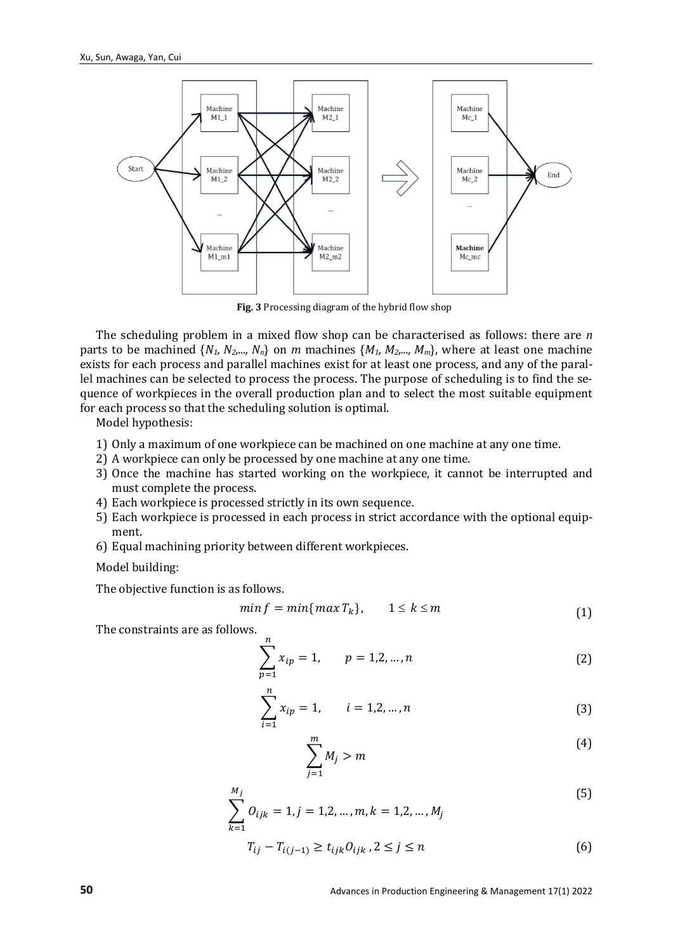

**Fig. 3** Processing diagram of the hybrid flow shop

The scheduling problem in a mixed flow shop can be characterised as follows: there are *n* parts to be machined {*N1, N2,..., Nn*} on *m* machines {*M1, M2,..., Mm*}, where at least one machine exists for each process and parallel machines exist for at least one process, and any of the parallel machines can be selected to process the process. The purpose of scheduling is to find the sequence of workpieces in the overall production plan and to select the most suitable equipment for each process so that the scheduling solution is optimal.

Model hypothesis:

- 1) Only a maximum of one workpiece can be machined on one machine at any one time.
- 2) A workpiece can only be processed by one machine at any one time.
- 3) Once the machine has started working on the workpiece, it cannot be interrupted and must complete the process.
- 4) Each workpiece is processed strictly in its own sequence.
- 5) Each workpiece is processed in each process in strict accordance with the optional equipment.
- 6) Equal machining priority between different workpieces.

Model building:

The objective function is as follows.

$$
min f = min\{max T_k\}, \qquad 1 \le k \le m \tag{1}
$$

The constraints are as follows.

$$
\sum_{p=1}^{n} x_{ip} = 1, \qquad p = 1, 2, ..., n
$$
 (2)

$$
\sum_{i=1}^{n} x_{ip} = 1, \qquad i = 1, 2, ..., n
$$
 (3)

$$
\sum_{j=1}^{m} M_j > m \tag{4}
$$

$$
\sum_{k=1}^{M_j} O_{ijk} = 1, j = 1, 2, ..., m, k = 1, 2, ..., M_j
$$
\n(5)

$$
T_{ij} - T_{i(j-1)} \ge t_{ijk} O_{ijk}, 2 \le j \le n
$$
 (6)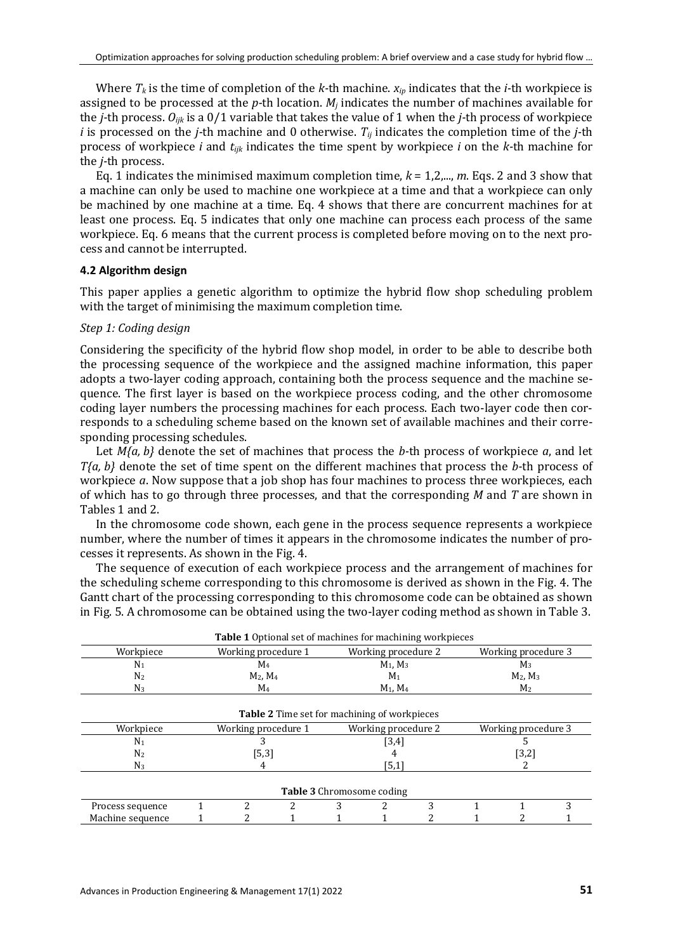Where  $T_k$  is the time of completion of the *k*-th machine.  $x_{ip}$  indicates that the *i*-th workpiece is assigned to be processed at the *p-*th location. *Mj* indicates the number of machines available for the *j-*th process. *Oijk* is a 0/1 variable that takes the value of 1 when the *j-*th process of workpiece *i* is processed on the *j-*th machine and 0 otherwise. *Tij* indicates the completion time of the *j-*th process of workpiece *i* and *tijk* indicates the time spent by workpiece *i* on the *k-*th machine for the *j-*th process.

Eq. 1 indicates the minimised maximum completion time, *k* = 1,2,..., *m*. Eqs. 2 and 3 show that a machine can only be used to machine one workpiece at a time and that a workpiece can only be machined by one machine at a time. Eq. 4 shows that there are concurrent machines for at least one process. Eq. 5 indicates that only one machine can process each process of the same workpiece. Eq. 6 means that the current process is completed before moving on to the next process and cannot be interrupted.

#### **4.2 Algorithm design**

This paper applies a genetic algorithm to optimize the hybrid flow shop scheduling problem with the target of minimising the maximum completion time.

#### *Step 1: Coding design*

Considering the specificity of the hybrid flow shop model, in order to be able to describe both the processing sequence of the workpiece and the assigned machine information, this paper adopts a two-layer coding approach, containing both the process sequence and the machine sequence. The first layer is based on the workpiece process coding, and the other chromosome coding layer numbers the processing machines for each process. Each two-layer code then corresponds to a scheduling scheme based on the known set of available machines and their corresponding processing schedules.

Let *M{a, b}* denote the set of machines that process the *b-*th process of workpiece *a*, and let *T{a, b}* denote the set of time spent on the different machines that process the *b-*th process of workpiece *a*. Now suppose that a job shop has four machines to process three workpieces, each of which has to go through three processes, and that the corresponding *M* and *T* are shown in Tables 1 and 2.

In the chromosome code shown, each gene in the process sequence represents a workpiece number, where the number of times it appears in the chromosome indicates the number of processes it represents. As shown in the Fig. 4.

The sequence of execution of each workpiece process and the arrangement of machines for the scheduling scheme corresponding to this chromosome is derived as shown in the Fig. 4. The Gantt chart of the processing corresponding to this chromosome code can be obtained as shown in Fig. 5. A chromosome can be obtained using the two-layer coding method as shown in Table 3.

|                  |                     |                     | <b>Table 1</b> Optional set of machines for machining workpieces |                                  |   |                     |  |   |
|------------------|---------------------|---------------------|------------------------------------------------------------------|----------------------------------|---|---------------------|--|---|
| Workpiece        |                     | Working procedure 1 |                                                                  | Working procedure 2              |   | Working procedure 3 |  |   |
| $N_1$            |                     | M4                  |                                                                  | $M_1$ , $M_3$                    |   | $M_3$               |  |   |
| N <sub>2</sub>   |                     | $M_2$ , $M_4$       |                                                                  | M <sub>1</sub>                   |   | $M_2$ , $M_3$       |  |   |
| $N_3$            | $M_4$               |                     | $M_1, M_4$                                                       |                                  |   | M <sub>2</sub>      |  |   |
|                  |                     |                     | <b>Table 2</b> Time set for machining of workpieces              |                                  |   |                     |  |   |
| Workpiece        | Working procedure 1 |                     | Working procedure 2                                              |                                  |   | Working procedure 3 |  |   |
| N <sub>1</sub>   |                     |                     | $[3,4]$                                                          |                                  |   |                     |  |   |
| N <sub>2</sub>   | [5,3]               |                     |                                                                  |                                  |   | $[3,2]$             |  |   |
| $N_3$            | 4                   |                     | [5,1]                                                            |                                  |   |                     |  |   |
|                  |                     |                     |                                                                  | <b>Table 3</b> Chromosome coding |   |                     |  |   |
| Process sequence |                     | 2                   | 2                                                                |                                  | ∍ |                     |  | າ |
| Machine sequence |                     |                     |                                                                  |                                  |   |                     |  |   |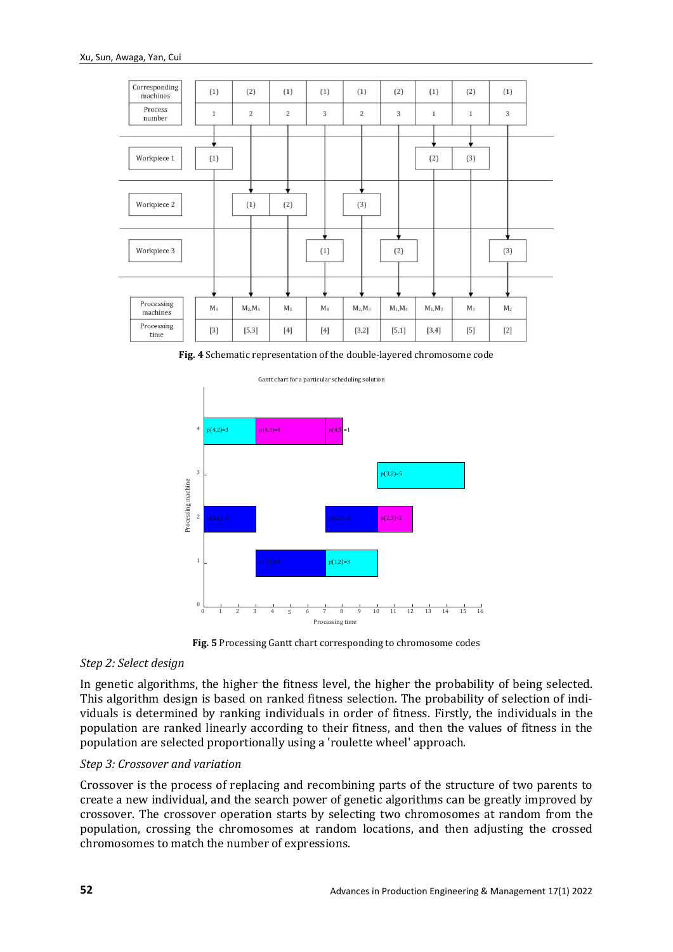

**Fig. 4** Schematic representation of the double-layered chromosome code



**Fig. 5** Processing Gantt chart corresponding to chromosome codes

#### *Step 2: Select design*

In genetic algorithms, the higher the fitness level, the higher the probability of being selected. This algorithm design is based on ranked fitness selection. The probability of selection of individuals is determined by ranking individuals in order of fitness. Firstly, the individuals in the population are ranked linearly according to their fitness, and then the values of fitness in the population are selected proportionally using a 'roulette wheel' approach.

#### *Step 3: Crossover and variation*

Crossover is the process of replacing and recombining parts of the structure of two parents to create a new individual, and the search power of genetic algorithms can be greatly improved by crossover. The crossover operation starts by selecting two chromosomes at random from the population, crossing the chromosomes at random locations, and then adjusting the crossed chromosomes to match the number of expressions.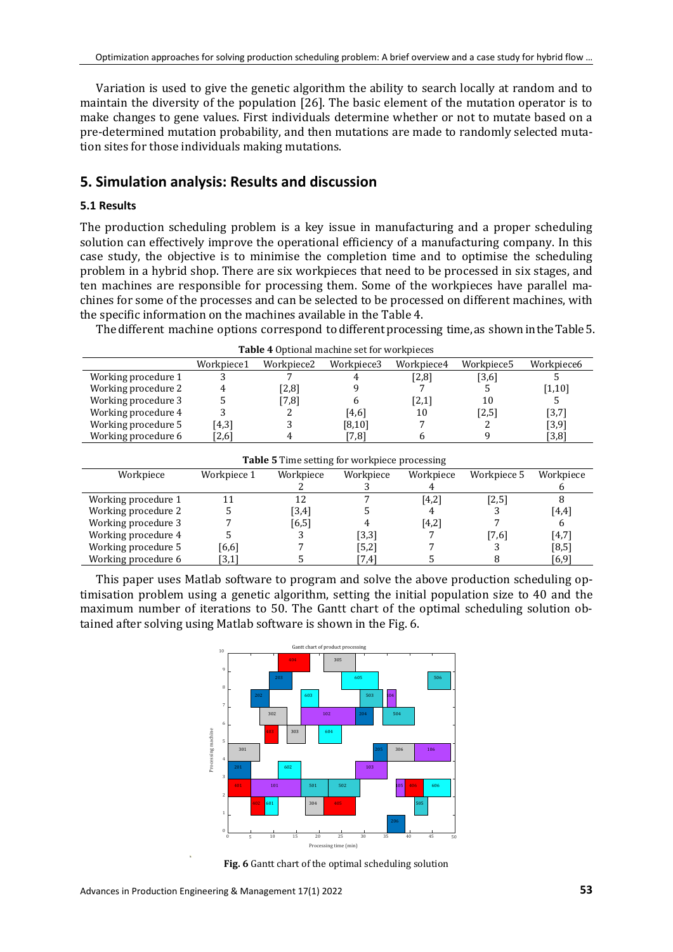Variation is used to give the genetic algorithm the ability to search locally at random and to maintain the diversity of the population [26]. The basic element of the mutation operator is to make changes to gene values. First individuals determine whether or not to mutate based on a pre-determined mutation probability, and then mutations are made to randomly selected mutation sites for those individuals making mutations.

# **5. Simulation analysis: Results and discussion**

Workpiece Workpiece 1 Workpiece

#### **5.1 Results**

The production scheduling problem is a key issue in manufacturing and a proper scheduling solution can effectively improve the operational efficiency of a manufacturing company. In this case study, the objective is to minimise the completion time and to optimise the scheduling problem in a hybrid shop. There are six workpieces that need to be processed in six stages, and ten machines are responsible for processing them. Some of the workpieces have parallel machines for some of the processes and can be selected to be processed on different machines, with the specific information on the machines available in the Table 4.

The different machine options correspond to different processing time, as shown in the Table 5.

| <b>rapic</b> + Optional machine set for workpieces |            |                        |            |            |            |            |
|----------------------------------------------------|------------|------------------------|------------|------------|------------|------------|
|                                                    | Workpiece1 | Workpiece <sub>2</sub> | Workpiece3 | Workpiece4 | Workpiece5 | Workpiece6 |
| Working procedure 1                                |            |                        |            | [2,8]      | [3,6]      |            |
| Working procedure 2                                |            | [2,8]                  |            |            |            | [1,10]     |
| Working procedure 3                                |            | [7,8]                  |            | [2,1]      | 10         |            |
| Working procedure 4                                |            | ∠                      | [4,6]      | 10         | [2,5]      | [3,7]      |
| Working procedure 5                                | $[4,3]$    |                        | [8,10]     |            |            | [3,9]      |
| Working procedure 6                                | [2,6]      |                        | [7,8]      |            |            | [3,8]      |
|                                                    |            |                        |            |            |            |            |

**Table 5** Time setting for workpiece processing

Workpiece  $rac{3}{7}$ 

Workpiece  $\frac{4}{[4,2]}$ 

Workpiece 5 Workpiece

 $\frac{6}{8}$ 

 $\frac{2}{12}$ 

| Table 4 Optional machine set for workpieces |  |  |
|---------------------------------------------|--|--|
|---------------------------------------------|--|--|

Working procedure 2 5 [3,4] 5 4 3 [4,4]<br>Working procedure 3 7 [6,5] 4 [4,2] 7 6 Working procedure 3 7 [6,5] 4 [4,2] 7 6<br>Working procedure 4 5 3 [3,3] 7 [7,6] [4,7] Working procedure 4 5 5 3 [3,3] 7 [7,6] [4,7]<br>Working procedure 5 [6,6] 7 [5,2] 7 3 [8,5] Working procedure 5  $[6,6]$  7  $[5,2]$  7 3  $[8,5]$ <br>Working procedure 6  $[3,1]$  5  $[7,4]$  5 8  $[6,9]$ Working procedure 6 This paper uses Matlab software to program and solve the above production scheduling optimisation problem using a genetic algorithm, setting the initial population size to 40 and the

Working procedure 1 11 12 7 [4,2] [2,5] 8<br>Working procedure 2 5 [3,4] 5 4 3 [4,4]

maximum number of iterations to 50. The Gantt chart of the optimal scheduling solution obtained after solving using Matlab software is shown in the Fig. 6.



**Fig. 6** Gantt chart of the optimal scheduling solution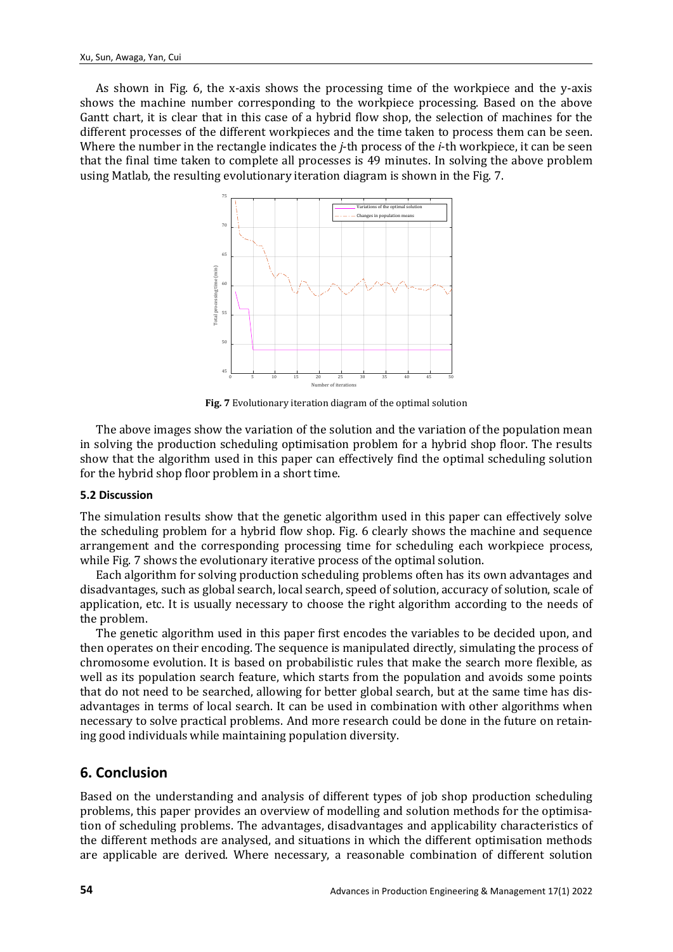As shown in Fig. 6, the x-axis shows the processing time of the workpiece and the y-axis shows the machine number corresponding to the workpiece processing. Based on the above Gantt chart, it is clear that in this case of a hybrid flow shop, the selection of machines for the different processes of the different workpieces and the time taken to process them can be seen. Where the number in the rectangle indicates the *j*-th process of the *i*-th workpiece, it can be seen that the final time taken to complete all processes is 49 minutes. In solving the above problem using Matlab, the resulting evolutionary iteration diagram is shown in the Fig. 7.



**Fig. 7** Evolutionary iteration diagram of the optimal solution

The above images show the variation of the solution and the variation of the population mean in solving the production scheduling optimisation problem for a hybrid shop floor. The results show that the algorithm used in this paper can effectively find the optimal scheduling solution for the hybrid shop floor problem in a short time.

#### **5.2 Discussion**

The simulation results show that the genetic algorithm used in this paper can effectively solve the scheduling problem for a hybrid flow shop. Fig. 6 clearly shows the machine and sequence arrangement and the corresponding processing time for scheduling each workpiece process, while Fig. 7 shows the evolutionary iterative process of the optimal solution.

Each algorithm for solving production scheduling problems often has its own advantages and disadvantages, such as global search, local search, speed of solution, accuracy of solution, scale of application, etc. It is usually necessary to choose the right algorithm according to the needs of the problem.

The genetic algorithm used in this paper first encodes the variables to be decided upon, and then operates on their encoding. The sequence is manipulated directly, simulating the process of chromosome evolution. It is based on probabilistic rules that make the search more flexible, as well as its population search feature, which starts from the population and avoids some points that do not need to be searched, allowing for better global search, but at the same time has disadvantages in terms of local search. It can be used in combination with other algorithms when necessary to solve practical problems. And more research could be done in the future on retaining good individuals while maintaining population diversity.

### **6. Conclusion**

Based on the understanding and analysis of different types of job shop production scheduling problems, this paper provides an overview of modelling and solution methods for the optimisation of scheduling problems. The advantages, disadvantages and applicability characteristics of the different methods are analysed, and situations in which the different optimisation methods are applicable are derived. Where necessary, a reasonable combination of different solution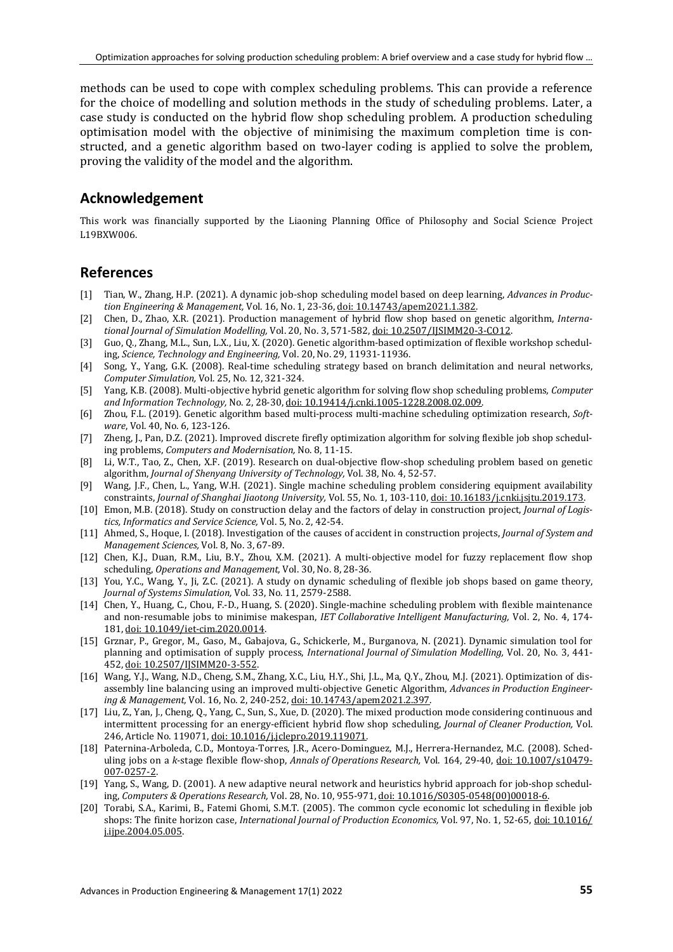methods can be used to cope with complex scheduling problems. This can provide a reference for the choice of modelling and solution methods in the study of scheduling problems. Later, a case study is conducted on the hybrid flow shop scheduling problem. A production scheduling optimisation model with the objective of minimising the maximum completion time is constructed, and a genetic algorithm based on two-layer coding is applied to solve the problem, proving the validity of the model and the algorithm.

# **Acknowledgement**

This work was financially supported by the Liaoning Planning Office of Philosophy and Social Science Project L19BXW006.

## **References**

- [1] Tian, W., Zhang, H.P. (2021). A dynamic job-shop scheduling model based on deep learning, *Advances in Production Engineering & Management,* Vol. 16, No. 1, 23-36[, doi: 10.14743/apem2021.1.382.](https://doi.org/10.14743/apem2021.1.382)
- [2] Chen, D., Zhao, X.R. (2021). Production management of hybrid flow shop based on genetic algorithm, *International Journal of Simulation Modelling,* Vol. 20, No. 3, 571-582[, doi: 10.2507/IJSIMM20-3-CO12.](https://doi.org/10.2507/IJSIMM20-3-CO12)
- [3] Guo, Q., Zhang, M.L., Sun, L.X., Liu, X. (2020). Genetic algorithm-based optimization of flexible workshop scheduling, *Science, Technology and Engineering,* Vol. 20, No. 29, 11931-11936.
- [4] Song, Y., Yang, G.K. (2008). Real-time scheduling strategy based on branch delimitation and neural networks, *Computer Simulation,* Vol. 25, No. 12, 321-324.
- [5] Yang, K.B. (2008). Multi-objective hybrid genetic algorithm for solving flow shop scheduling problems*, Computer and Information Technology,* No. 2, 28-30[, doi: 10.19414/j.cnki.1005-1228.2008.02.009.](https://doi.org/10.19414/j.cnki.1005-1228.2008.02.009)
- [6] Zhou, F.L. (2019). Genetic algorithm based multi-process multi-machine scheduling optimization research, *Software*, Vol. 40, No. 6, 123-126.
- [7] Zheng, J., Pan, D.Z. (2021). Improved discrete firefly optimization algorithm for solving flexible job shop scheduling problems, *Computers and Modernisation,* No. 8, 11-15.
- [8] Li, W.T., Tao, Z., Chen, X.F. (2019). Research on dual-objective flow-shop scheduling problem based on genetic algorithm, *Journal of Shenyang University of Technology,* Vol. 38, No. 4, 52-57.
- [9] Wang, J.F., Chen, L., Yang, W.H. (2021). Single machine scheduling problem considering equipment availability constraints, *Journal of Shanghai Jiaotong University,* Vol. 55, No. 1, 103-110[, doi: 10.16183/j.cnki.jsjtu.2019.173.](https://doi.org/10.16183/j.cnki.jsjtu.2019.173)
- [10] Emon, M.B. (2018). Study on construction delay and the factors of delay in construction project, *Journal of Logistics, Informatics and Service Science,* Vol. 5, No. 2, 42-54.
- [11] Ahmed, S., Hoque, I. (2018). Investigation of the causes of accident in construction projects, *Journal of System and Management Sciences,* Vol. 8, No. 3, 67-89.
- [12] Chen, K.J., Duan, R.M., Liu, B.Y., Zhou, X.M. (2021). A multi-objective model for fuzzy replacement flow shop scheduling, *Operations and Management,* Vol. 30, No. 8, 28-36.
- [13] You, Y.C., Wang, Y., Ji, Z.C. (2021). A study on dynamic scheduling of flexible job shops based on game theory, *Journal of Systems Simulation,* Vol. 33, No. 11, 2579-2588.
- [14] Chen, Y., Huang, C., Chou, F.-D., Huang, S. (2020). Single-machine scheduling problem with flexible maintenance and non-resumable jobs to minimise makespan, *IET Collaborative Intelligent Manufacturing,* Vol. 2, No. 4, 174- 181[, doi: 10.1049/iet-cim.2020.0014.](https://doi.org/10.1049/iet-cim.2020.0014)
- [15] Grznar, P., Gregor, M., Gaso, M., Gabajova, G., Schickerle, M., Burganova, N. (2021). Dynamic simulation tool for planning and optimisation of supply process, *International Journal of Simulation Modelling,* Vol. 20, No. 3, 441- 452[, doi: 10.2507/IJSIMM20-3-552.](https://doi.org/10.2507/IJSIMM20-3-552)
- [16] Wang, Y.J., Wang, N.D., Cheng, S.M., Zhang, X.C., Liu, H.Y., Shi, J.L., Ma, Q.Y., Zhou, M.J. (2021). Optimization of disassembly line balancing using an improved multi-objective Genetic Algorithm, *Advances in Production Engineering & Management,* Vol. 16, No. 2, 240-252[, doi: 10.14743/apem2021.2.397.](https://doi.org/10.14743/apem2021.2.397)
- [17] Liu, Z., Yan, J., Cheng, Q., Yang, C., Sun, S., Xue, D. (2020). The mixed production mode considering continuous and intermittent processing for an energy-efficient hybrid flow shop scheduling, *Journal of Cleaner Production,* Vol. 246, Article No. 119071[, doi: 10.1016/j.jclepro.2019.119071.](https://doi.org/10.1016/j.jclepro.2019.119071)
- [18] Paternina-Arboleda, C.D., Montoya-Torres, J.R., Acero-Dominguez, M.J., Herrera-Hernandez, M.C. (2008). Scheduling jobs on a *k*-stage flexible flow-shop, *Annals of Operations Research,* Vol. 164, 29-40, [doi: 10.1007/s10479-](https://doi.org/10.1007/s10479-007-0257-2) [007-0257-2.](https://doi.org/10.1007/s10479-007-0257-2)
- [19] Yang, S., Wang, D. (2001). A new adaptive neural network and heuristics hybrid approach for job-shop scheduling, *Computers & Operations Research,* Vol. 28, No. 10, 955-971[, doi: 10.1016/S0305-0548\(00\)00018-6.](https://doi.org/10.1016/S0305-0548(00)00018-6)
- [20] Torabi, S.A., Karimi, B., Fatemi Ghomi, S.M.T. (2005). The common cycle economic lot scheduling in flexible job shops: The finite horizon case, *International Journal of Production Economics,* Vol. 97, No. 1, 52-65[, doi: 10.1016/](https://doi.org/10.1016/j.ijpe.2004.05.005) [j.ijpe.2004.05.005.](https://doi.org/10.1016/j.ijpe.2004.05.005)